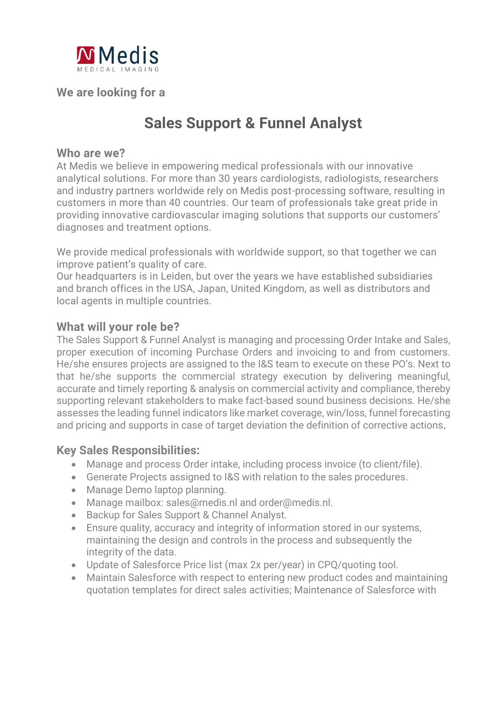

**We are looking for a**

# **Sales Support & Funnel Analyst**

#### **Who are we?**

At Medis we believe in empowering medical professionals with our innovative analytical solutions. For more than 30 years cardiologists, radiologists, researchers and industry partners worldwide rely on Medis post-processing software, resulting in customers in more than 40 countries. Our team of professionals take great pride in providing innovative cardiovascular imaging solutions that supports our customers' diagnoses and treatment options.

We provide medical professionals with worldwide support, so that together we can improve patient's quality of care.

Our headquarters is in Leiden, but over the years we have established subsidiaries and branch offices in the USA, Japan, United Kingdom, as well as distributors and local agents in multiple countries.

### **What will your role be?**

The Sales Support & Funnel Analyst is managing and processing Order Intake and Sales, proper execution of incoming Purchase Orders and invoicing to and from customers. He/she ensures projects are assigned to the I&S team to execute on these PO's. Next to that he/she supports the commercial strategy execution by delivering meaningful, accurate and timely reporting & analysis on commercial activity and compliance, thereby supporting relevant stakeholders to make fact-based sound business decisions. He/she assesses the leading funnel indicators like market coverage, win/loss, funnel forecasting and pricing and supports in case of target deviation the definition of corrective actions.

# **Key Sales Responsibilities:**

- Manage and process Order intake, including process invoice (to client/file).
- Generate Projects assigned to I&S with relation to the sales procedures.
- Manage Demo laptop planning.
- Manage mailbox: sales@medis.nl and order@medis.nl.
- Backup for Sales Support & Channel Analyst.
- Ensure quality, accuracy and integrity of information stored in our systems, maintaining the design and controls in the process and subsequently the integrity of the data.
- Update of Salesforce Price list (max 2x per/year) in CPQ/quoting tool.
- Maintain Salesforce with respect to entering new product codes and maintaining quotation templates for direct sales activities; Maintenance of Salesforce with